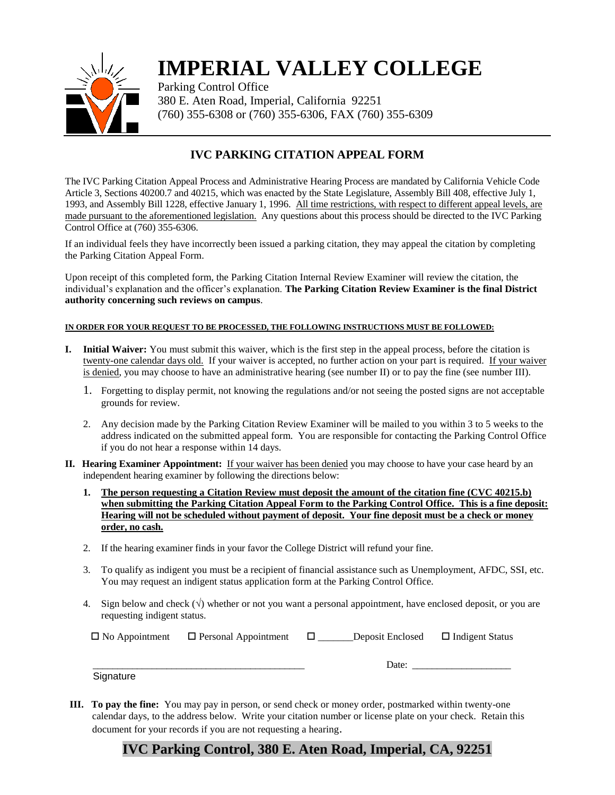

# **IMPERIAL VALLEY COLLEGE**

Parking Control Office 380 E. Aten Road, Imperial, California 92251 (760) 355-6308 or (760) 355-6306, FAX (760) 355-6309

## **IVC PARKING CITATION APPEAL FORM**

The IVC Parking Citation Appeal Process and Administrative Hearing Process are mandated by California Vehicle Code Article 3, Sections 40200.7 and 40215, which was enacted by the State Legislature, Assembly Bill 408, effective July 1, 1993, and Assembly Bill 1228, effective January 1, 1996. All time restrictions, with respect to different appeal levels, are made pursuant to the aforementioned legislation. Any questions about this process should be directed to the IVC Parking Control Office at (760) 355-6306.

If an individual feels they have incorrectly been issued a parking citation, they may appeal the citation by completing the Parking Citation Appeal Form.

Upon receipt of this completed form, the Parking Citation Internal Review Examiner will review the citation, the individual's explanation and the officer's explanation. **The Parking Citation Review Examiner is the final District authority concerning such reviews on campus**.

#### **IN ORDER FOR YOUR REQUEST TO BE PROCESSED, THE FOLLOWING INSTRUCTIONS MUST BE FOLLOWED:**

- **I. Initial Waiver:** You must submit this waiver, which is the first step in the appeal process, before the citation is twenty-one calendar days old. If your waiver is accepted, no further action on your part is required. If your waiver is denied, you may choose to have an administrative hearing (see number II) or to pay the fine (see number III).
	- 1. Forgetting to display permit, not knowing the regulations and/or not seeing the posted signs are not acceptable grounds for review.
	- 2. Any decision made by the Parking Citation Review Examiner will be mailed to you within 3 to 5 weeks to the address indicated on the submitted appeal form. You are responsible for contacting the Parking Control Office if you do not hear a response within 14 days.
- **II. Hearing Examiner Appointment:** If your waiver has been denied you may choose to have your case heard by an independent hearing examiner by following the directions below:
	- **1. The person requesting a Citation Review must deposit the amount of the citation fine (CVC 40215.b) when submitting the Parking Citation Appeal Form to the Parking Control Office. This is a fine deposit: Hearing will not be scheduled without payment of deposit. Your fine deposit must be a check or money order, no cash.**
	- 2. If the hearing examiner finds in your favor the College District will refund your fine.
	- 3. To qualify as indigent you must be a recipient of financial assistance such as Unemployment, AFDC, SSI, etc. You may request an indigent status application form at the Parking Control Office.
	- 4. Sign below and check  $(\sqrt{})$  whether or not you want a personal appointment, have enclosed deposit, or you are requesting indigent status.

 $\Box$  No Appointment  $\Box$  Personal Appointment  $\Box$  Deposit Enclosed  $\Box$  Indigent Status

**Signature** 

- \_\_\_\_\_\_\_\_\_\_\_\_\_\_\_\_\_\_\_\_\_\_\_\_\_\_\_\_\_\_\_\_\_\_\_\_\_\_\_\_\_\_\_ Date: \_\_\_\_\_\_\_\_\_\_\_\_\_\_\_\_\_\_\_\_
- **III. To pay the fine:** You may pay in person, or send check or money order, postmarked within twenty-one calendar days, to the address below. Write your citation number or license plate on your check. Retain this document for your records if you are not requesting a hearing.

## **IVC Parking Control, 380 E. Aten Road, Imperial, CA, 92251**